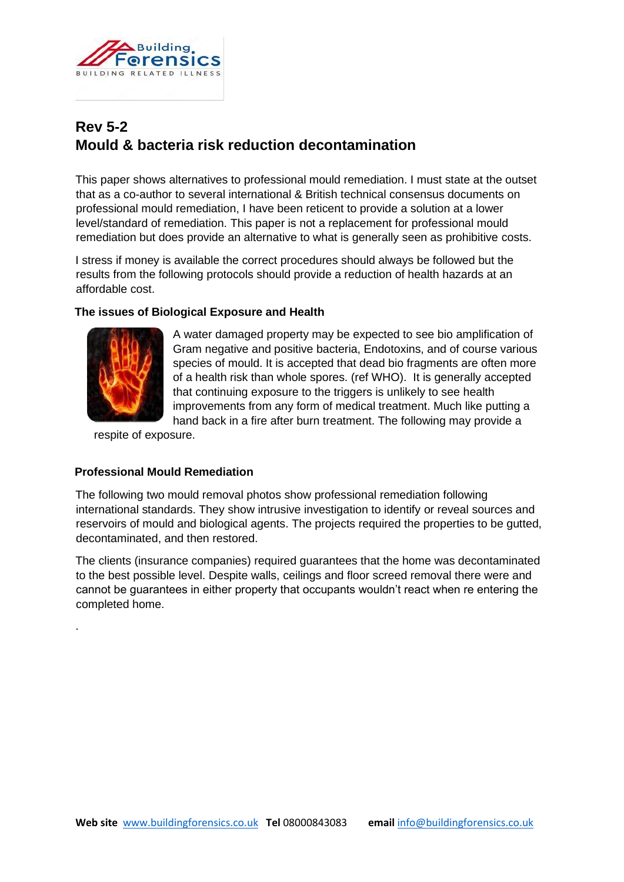

# **Rev 5-2 Mould & bacteria risk reduction decontamination**

This paper shows alternatives to professional mould remediation. I must state at the outset that as a co-author to several international & British technical consensus documents on professional mould remediation, I have been reticent to provide a solution at a lower level/standard of remediation. This paper is not a replacement for professional mould remediation but does provide an alternative to what is generally seen as prohibitive costs.

I stress if money is available the correct procedures should always be followed but the results from the following protocols should provide a reduction of health hazards at an affordable cost.

# **The issues of Biological Exposure and Health**



.

A water damaged property may be expected to see bio amplification of Gram negative and positive bacteria, Endotoxins, and of course various species of mould. It is accepted that dead bio fragments are often more of a health risk than whole spores. (ref WHO). It is generally accepted that continuing exposure to the triggers is unlikely to see health improvements from any form of medical treatment. Much like putting a hand back in a fire after burn treatment. The following may provide a

respite of exposure.

# **Professional Mould Remediation**

The following two mould removal photos show professional remediation following international standards. They show intrusive investigation to identify or reveal sources and reservoirs of mould and biological agents. The projects required the properties to be gutted, decontaminated, and then restored.

The clients (insurance companies) required guarantees that the home was decontaminated to the best possible level. Despite walls, ceilings and floor screed removal there were and cannot be guarantees in either property that occupants wouldn't react when re entering the completed home.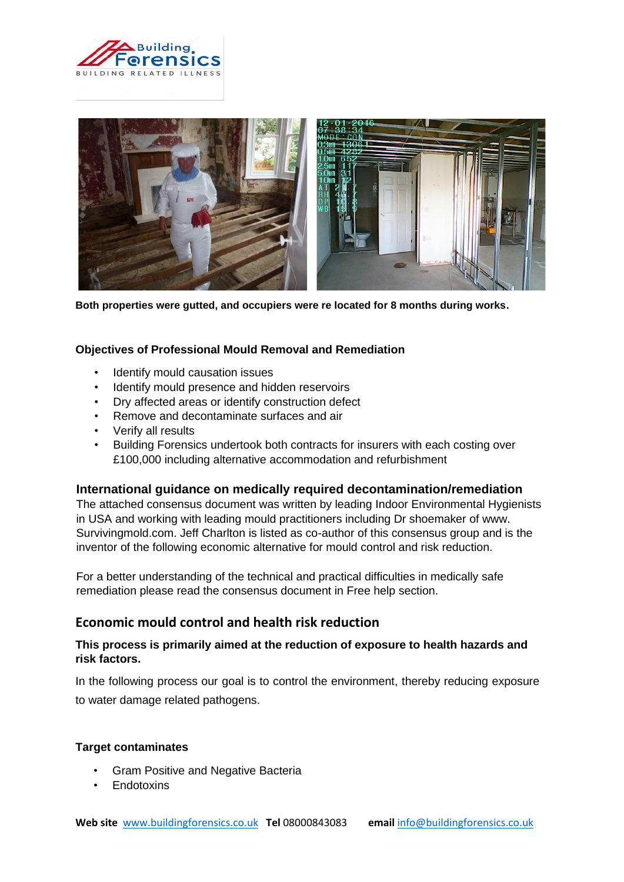



**Both properties were gutted, and occupiers were re located for 8 months during works.** 

# **Objectives of Professional Mould Removal and Remediation**

- Identify mould causation issues
- Identify mould presence and hidden reservoirs
- Dry affected areas or identify construction defect
- Remove and decontaminate surfaces and air
- Verify all results
- Building Forensics undertook both contracts for insurers with each costing over £100,000 including alternative accommodation and refurbishment

# **International guidance on medically required decontamination/remediation**

The attached consensus document was written by leading Indoor Environmental Hygienists in USA and working with leading mould practitioners including Dr shoemaker of www. Survivingmold.com. Jeff Charlton is listed as co-author of this consensus group and is the inventor of the following economic alternative for mould control and risk reduction.

For a better understanding of the technical and practical difficulties in medically safe remediation please read the consensus document in Free help section.

# **Economic mould control and health risk reduction**

# **This process is primarily aimed at the reduction of exposure to health hazards and risk factors.**

In the following process our goal is to control the environment, thereby reducing exposure to water damage related pathogens.

#### **Target contaminates**

- Gram Positive and Negative Bacteria
- **Endotoxins**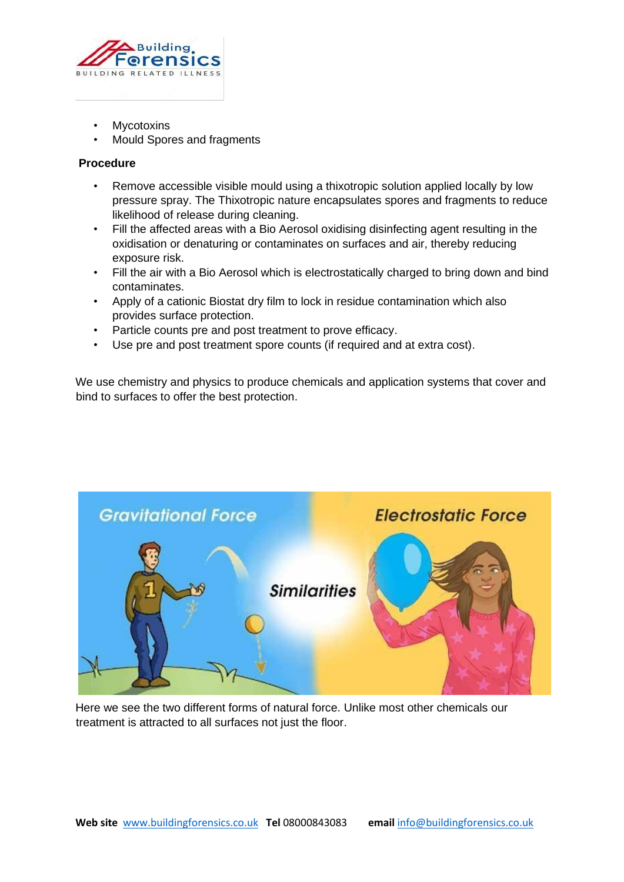

- **Mycotoxins**
- Mould Spores and fragments

# **Procedure**

- Remove accessible visible mould using a thixotropic solution applied locally by low pressure spray. The Thixotropic nature encapsulates spores and fragments to reduce likelihood of release during cleaning.
- Fill the affected areas with a Bio Aerosol oxidising disinfecting agent resulting in the oxidisation or denaturing or contaminates on surfaces and air, thereby reducing exposure risk.
- Fill the air with a Bio Aerosol which is electrostatically charged to bring down and bind contaminates.
- Apply of a cationic Biostat dry film to lock in residue contamination which also provides surface protection.
- Particle counts pre and post treatment to prove efficacy.
- Use pre and post treatment spore counts (if required and at extra cost).

We use chemistry and physics to produce chemicals and application systems that cover and bind to surfaces to offer the best protection.



Here we see the two different forms of natural force. Unlike most other chemicals our treatment is attracted to all surfaces not just the floor.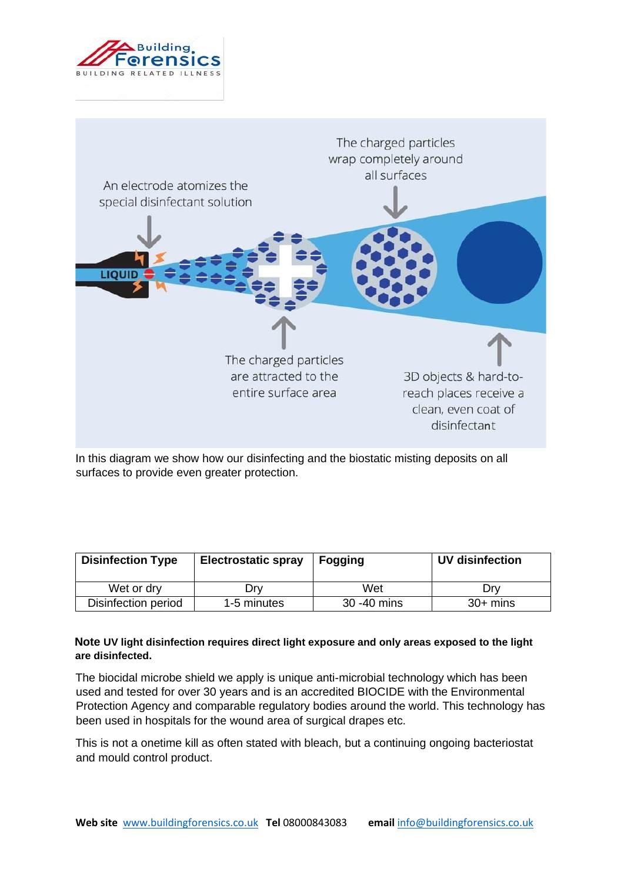



In this diagram we show how our disinfecting and the biostatic misting deposits on all surfaces to provide even greater protection.

| <b>Disinfection Type</b> | <b>Electrostatic spray</b> | <b>Fogging</b> | <b>UV disinfection</b> |
|--------------------------|----------------------------|----------------|------------------------|
| Wet or dry               | Drv                        | Wet            | Drv                    |
| Disinfection period      | 1-5 minutes                | 30 - 40 mins   | $30+$ mins             |

# **Note UV light disinfection requires direct light exposure and only areas exposed to the light are disinfected.**

The biocidal microbe shield we apply is unique anti-microbial technology which has been used and tested for over 30 years and is an accredited BIOCIDE with the Environmental Protection Agency and comparable regulatory bodies around the world. This technology has been used in hospitals for the wound area of surgical drapes etc.

This is not a onetime kill as often stated with bleach, but a continuing ongoing bacteriostat and mould control product.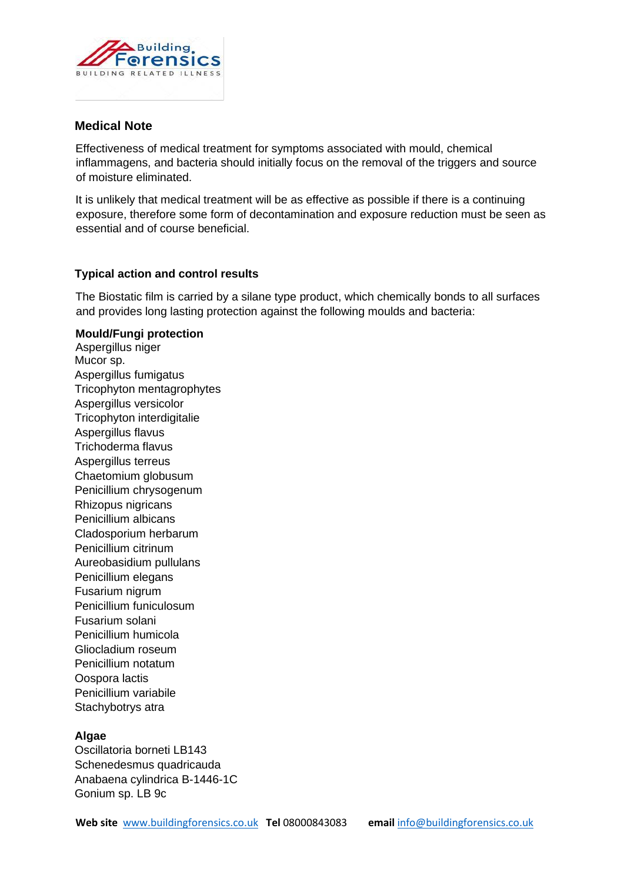

# **Medical Note**

Effectiveness of medical treatment for symptoms associated with mould, chemical inflammagens, and bacteria should initially focus on the removal of the triggers and source of moisture eliminated.

It is unlikely that medical treatment will be as effective as possible if there is a continuing exposure, therefore some form of decontamination and exposure reduction must be seen as essential and of course beneficial.

# **Typical action and control results**

The Biostatic film is carried by a silane type product, which chemically bonds to all surfaces and provides long lasting protection against the following moulds and bacteria:

### **Mould/Fungi protection**

Aspergillus niger Mucor sp. Aspergillus fumigatus Tricophyton mentagrophytes Aspergillus versicolor Tricophyton interdigitalie Aspergillus flavus Trichoderma flavus Aspergillus terreus Chaetomium globusum Penicillium chrysogenum Rhizopus nigricans Penicillium albicans Cladosporium herbarum Penicillium citrinum Aureobasidium pullulans Penicillium elegans Fusarium nigrum Penicillium funiculosum Fusarium solani Penicillium humicola Gliocladium roseum Penicillium notatum Oospora lactis Penicillium variabile Stachybotrys atra

# **Algae**

Oscillatoria borneti LB143 Schenedesmus quadricauda Anabaena cylindrica B-1446-1C Gonium sp. LB 9c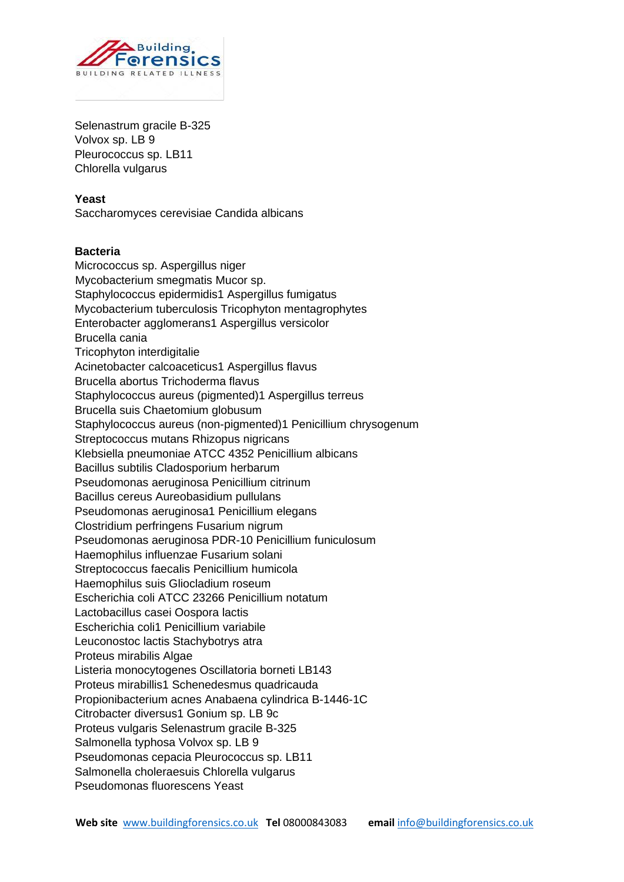

Selenastrum gracile B-325 Volvox sp. LB 9 Pleurococcus sp. LB11 Chlorella vulgarus

#### **Yeast**

Saccharomyces cerevisiae Candida albicans

### **Bacteria**

Micrococcus sp. Aspergillus niger Mycobacterium smegmatis Mucor sp. Staphylococcus epidermidis1 Aspergillus fumigatus Mycobacterium tuberculosis Tricophyton mentagrophytes Enterobacter agglomerans1 Aspergillus versicolor Brucella cania Tricophyton interdigitalie Acinetobacter calcoaceticus1 Aspergillus flavus Brucella abortus Trichoderma flavus Staphylococcus aureus (pigmented)1 Aspergillus terreus Brucella suis Chaetomium globusum Staphylococcus aureus (non-pigmented)1 Penicillium chrysogenum Streptococcus mutans Rhizopus nigricans Klebsiella pneumoniae ATCC 4352 Penicillium albicans Bacillus subtilis Cladosporium herbarum Pseudomonas aeruginosa Penicillium citrinum Bacillus cereus Aureobasidium pullulans Pseudomonas aeruginosa1 Penicillium elegans Clostridium perfringens Fusarium nigrum Pseudomonas aeruginosa PDR-10 Penicillium funiculosum Haemophilus influenzae Fusarium solani Streptococcus faecalis Penicillium humicola Haemophilus suis Gliocladium roseum Escherichia coli ATCC 23266 Penicillium notatum Lactobacillus casei Oospora lactis Escherichia coli1 Penicillium variabile Leuconostoc lactis Stachybotrys atra Proteus mirabilis Algae Listeria monocytogenes Oscillatoria borneti LB143 Proteus mirabillis1 Schenedesmus quadricauda Propionibacterium acnes Anabaena cylindrica B-1446-1C Citrobacter diversus1 Gonium sp. LB 9c Proteus vulgaris Selenastrum gracile B-325 Salmonella typhosa Volvox sp. LB 9 Pseudomonas cepacia Pleurococcus sp. LB11 Salmonella choleraesuis Chlorella vulgarus Pseudomonas fluorescens Yeast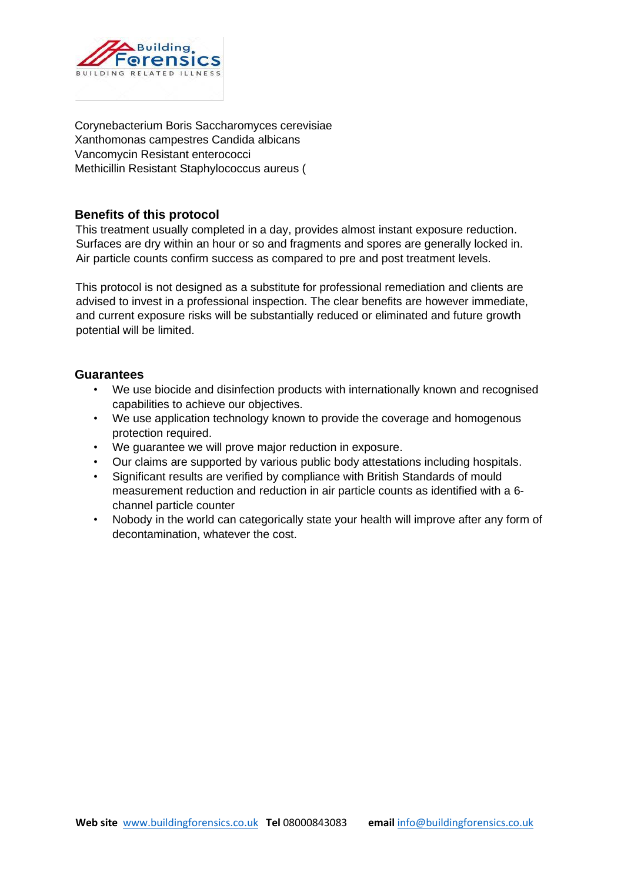

Corynebacterium Boris Saccharomyces cerevisiae Xanthomonas campestres Candida albicans Vancomycin Resistant enterococci Methicillin Resistant Staphylococcus aureus (

# **Benefits of this protocol**

This treatment usually completed in a day, provides almost instant exposure reduction. Surfaces are dry within an hour or so and fragments and spores are generally locked in. Air particle counts confirm success as compared to pre and post treatment levels.

This protocol is not designed as a substitute for professional remediation and clients are advised to invest in a professional inspection. The clear benefits are however immediate, and current exposure risks will be substantially reduced or eliminated and future growth potential will be limited.

# **Guarantees**

- We use biocide and disinfection products with internationally known and recognised capabilities to achieve our objectives.
- We use application technology known to provide the coverage and homogenous protection required.
- We guarantee we will prove major reduction in exposure.
- Our claims are supported by various public body attestations including hospitals.
- Significant results are verified by compliance with British Standards of mould measurement reduction and reduction in air particle counts as identified with a 6 channel particle counter
- Nobody in the world can categorically state your health will improve after any form of decontamination, whatever the cost.